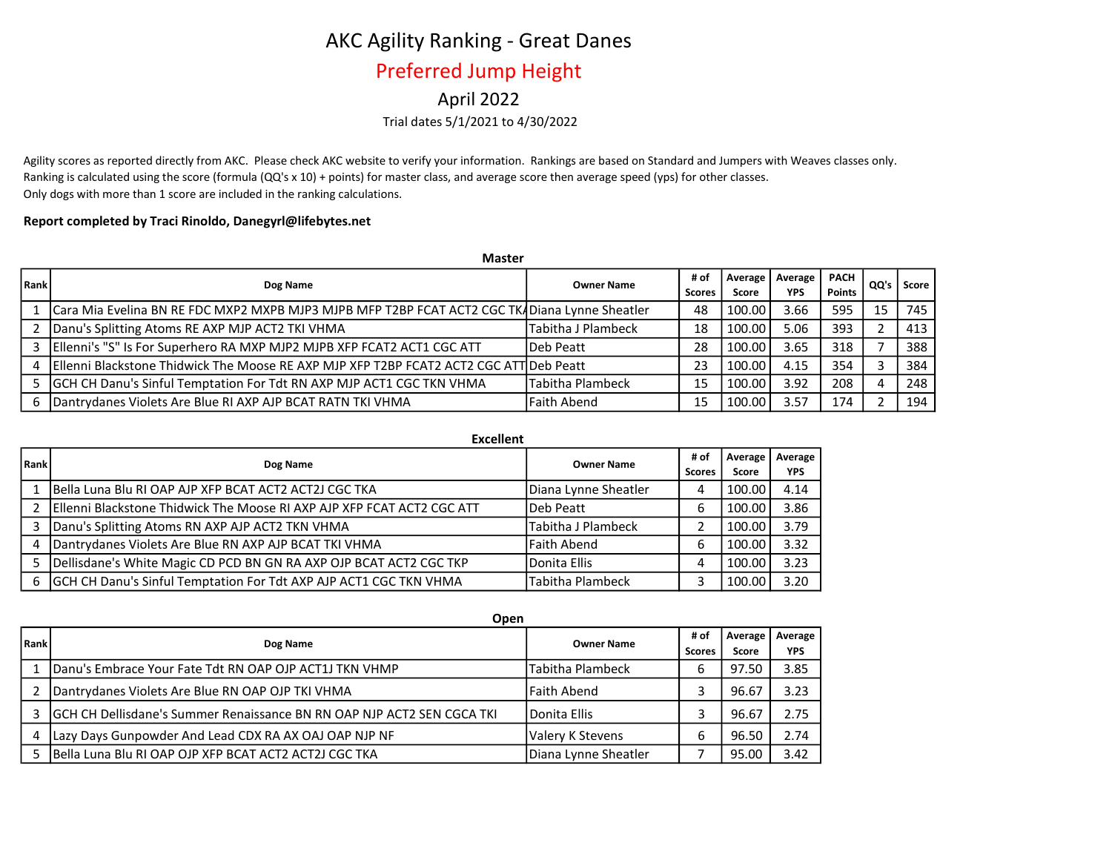# AKC Agility Ranking - Great Danes

### Preferred Jump Height

### April 2022

#### Trial dates 5/1/2021 to 4/30/2022

Agility scores as reported directly from AKC. Please check AKC website to verify your information. Rankings are based on Standard and Jumpers with Weaves classes only. Ranking is calculated using the score (formula (QQ's x 10) + points) for master class, and average score then average speed (yps) for other classes. Only dogs with more than 1 score are included in the ranking calculations.

#### Report completed by Traci Rinoldo, Danegyrl@lifebytes.net

|      | <b>Master</b>                                                                                     |                    |        |                   |      |               |        |       |
|------|---------------------------------------------------------------------------------------------------|--------------------|--------|-------------------|------|---------------|--------|-------|
| Rank | Dog Name                                                                                          | <b>Owner Name</b>  | # of   | Average   Average |      | <b>PACH</b>   | . QQ's | Score |
|      |                                                                                                   |                    | Scores | Score             | YPS  | <b>Points</b> |        |       |
|      | L   Cara Mia Evelina BN RE FDC MXP2 MXPB MJP3 MJPB MFP T2BP FCAT ACT2 CGC TK4Diana Lynne Sheatler |                    | 48     | 100.00            | 3.66 | 595           | 15     | 745   |
|      | 2   Danu's Splitting Atoms RE AXP MJP ACT2 TKI VHMA                                               | Tabitha J Plambeck | 18     | 100.00            | 5.06 | 393           |        | 413   |
|      | 3   Ellenni's "S" Is For Superhero RA MXP MJP2 MJPB XFP FCAT2 ACT1 CGC ATT                        | Deb Peatt          | 28     | 100.00            | 3.65 | 318           |        | 388   |
|      | 4   Ellenni Blackstone Thidwick The Moose RE AXP MJP XFP T2BP FCAT2 ACT2 CGC ATT Deb Peatt        |                    | 23     | 100.00            | 4.15 | 354           | 3      | 384   |
|      | 5 GCH CH Danu's Sinful Temptation For Tdt RN AXP MJP ACT1 CGC TKN VHMA                            | Tabitha Plambeck   | 15     | 100.00            | 3.92 | 208           | 4      | 248   |
|      | 6   Dantrydanes Violets Are Blue RI AXP AJP BCAT RATN TKI VHMA                                    | <b>Faith Abend</b> | 15     | 100.00            | 3.57 | 174           |        | 194   |

|      | <b>Excellent</b>                                                       |                      |                       |                  |                       |
|------|------------------------------------------------------------------------|----------------------|-----------------------|------------------|-----------------------|
| Rank | Dog Name                                                               | <b>Owner Name</b>    | # of<br><b>Scores</b> | Average<br>Score | Average<br><b>YPS</b> |
|      | Bella Luna Blu RI OAP AJP XFP BCAT ACT2 ACT2J CGC TKA                  | Diana Lynne Sheatler | 4                     | 100.00           | 4.14                  |
|      | Ellenni Blackstone Thidwick The Moose RI AXP AJP XFP FCAT ACT2 CGC ATT | Deb Peatt            | 6                     | 100.00           | 3.86                  |
| 3.   | Danu's Splitting Atoms RN AXP AJP ACT2 TKN VHMA                        | Tabitha J Plambeck   |                       | 100.00           | 3.79                  |
| 4    | Dantrydanes Violets Are Blue RN AXP AJP BCAT TKI VHMA                  | Faith Abend          | 6                     | 100.00           | 3.32                  |
|      | Dellisdane's White Magic CD PCD BN GN RA AXP OJP BCAT ACT2 CGC TKP     | Donita Ellis         | 4                     | 100.00           | 3.23                  |
| 6    | GCH CH Danu's Sinful Temptation For Tdt AXP AJP ACT1 CGC TKN VHMA      | Tabitha Plambeck     |                       | 100.00           | 3.20                  |

|      | Open                                                                      |                         |                       |                  |                       |
|------|---------------------------------------------------------------------------|-------------------------|-----------------------|------------------|-----------------------|
| Rank | Dog Name                                                                  | <b>Owner Name</b>       | # of<br><b>Scores</b> | Average<br>Score | Average<br><b>YPS</b> |
|      | Danu's Embrace Your Fate Tdt RN OAP OJP ACT1J TKN VHMP                    | <b>Tabitha Plambeck</b> | 6                     | 97.50            | 3.85                  |
|      | Dantrydanes Violets Are Blue RN OAP OJP TKI VHMA                          | l Faith Abend           |                       | 96.67            | 3.23                  |
|      | 3 IGCH CH Dellisdane's Summer Renaissance BN RN OAP NJP ACT2 SEN CGCA TKI | <b>IDonita Ellis</b>    |                       | 96.67            | 2.75                  |
| 4    | Lazy Days Gunpowder And Lead CDX RA AX OAJ OAP NJP NF                     | Valery K Stevens        |                       | 96.50            | 2.74                  |
|      | IBella Luna Blu RI OAP OJP XFP BCAT ACT2 ACT2J CGC TKA                    | Diana Lynne Sheatler    |                       | 95.00            | 3.42                  |